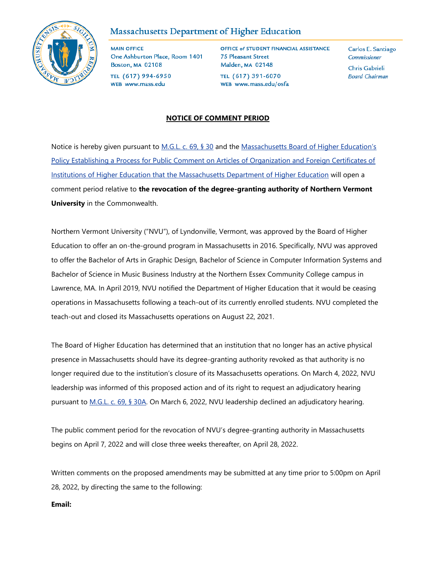

# Massachusetts Department of Higher Education

**MAIN OFFICE** One Ashburton Place, Room 1401 **Boston, MA 02108** TEL (617) 994-6950

WEB www.mass.edu

OFFICE of STUDENT FINANCIAL ASSISTANCE **75 Pleasant Street** Malden, MA 02148 TEL (617) 391-6070 WEB www.mass.edu/osfa

Carlos E. Santiago Commissioner Chris Gabrieli **Board Chairman** 

## **NOTICE OF COMMENT PERIOD**

Notice is hereby given pursuant to [M.G.L. c. 69, § 30](https://malegislature.gov/Laws/GeneralLaws/PartI/TitleXII/Chapter69/Section30) and the Massachusetts Board of Higher Education's [Policy Establishing a Process for Public Comment on Articles of Organization and Foreign Certificates of](https://www.mass.edu/bhe/documents/PublicCommentProcessPolicy.pdf)  [Institutions of Higher Education that the Massachusetts Department of Higher Education](https://www.mass.edu/bhe/documents/PublicCommentProcessPolicy.pdf) will open a comment period relative to **the revocation of the degree-granting authority of Northern Vermont University** in the Commonwealth.

Northern Vermont University ("NVU"), of Lyndonville, Vermont, was approved by the Board of Higher Education to offer an on-the-ground program in Massachusetts in 2016. Specifically, NVU was approved to offer the Bachelor of Arts in Graphic Design, Bachelor of Science in Computer Information Systems and Bachelor of Science in Music Business Industry at the Northern Essex Community College campus in Lawrence, MA. In April 2019, NVU notified the Department of Higher Education that it would be ceasing operations in Massachusetts following a teach-out of its currently enrolled students. NVU completed the teach-out and closed its Massachusetts operations on August 22, 2021.

The Board of Higher Education has determined that an institution that no longer has an active physical presence in Massachusetts should have its degree-granting authority revoked as that authority is no longer required due to the institution's closure of its Massachusetts operations. On March 4, 2022, NVU leadership was informed of this proposed action and of its right to request an adjudicatory hearing pursuant to [M.G.L. c. 69, § 30A.](https://malegislature.gov/Laws/GeneralLaws/PartI/TitleXII/Chapter69/Section30A) On March 6, 2022, NVU leadership declined an adjudicatory hearing.

The public comment period for the revocation of NVU's degree-granting authority in Massachusetts begins on April 7, 2022 and will close three weeks thereafter, on April 28, 2022.

Written comments on the proposed amendments may be submitted at any time prior to 5:00pm on April 28, 2022, by directing the same to the following:

#### **Email:**